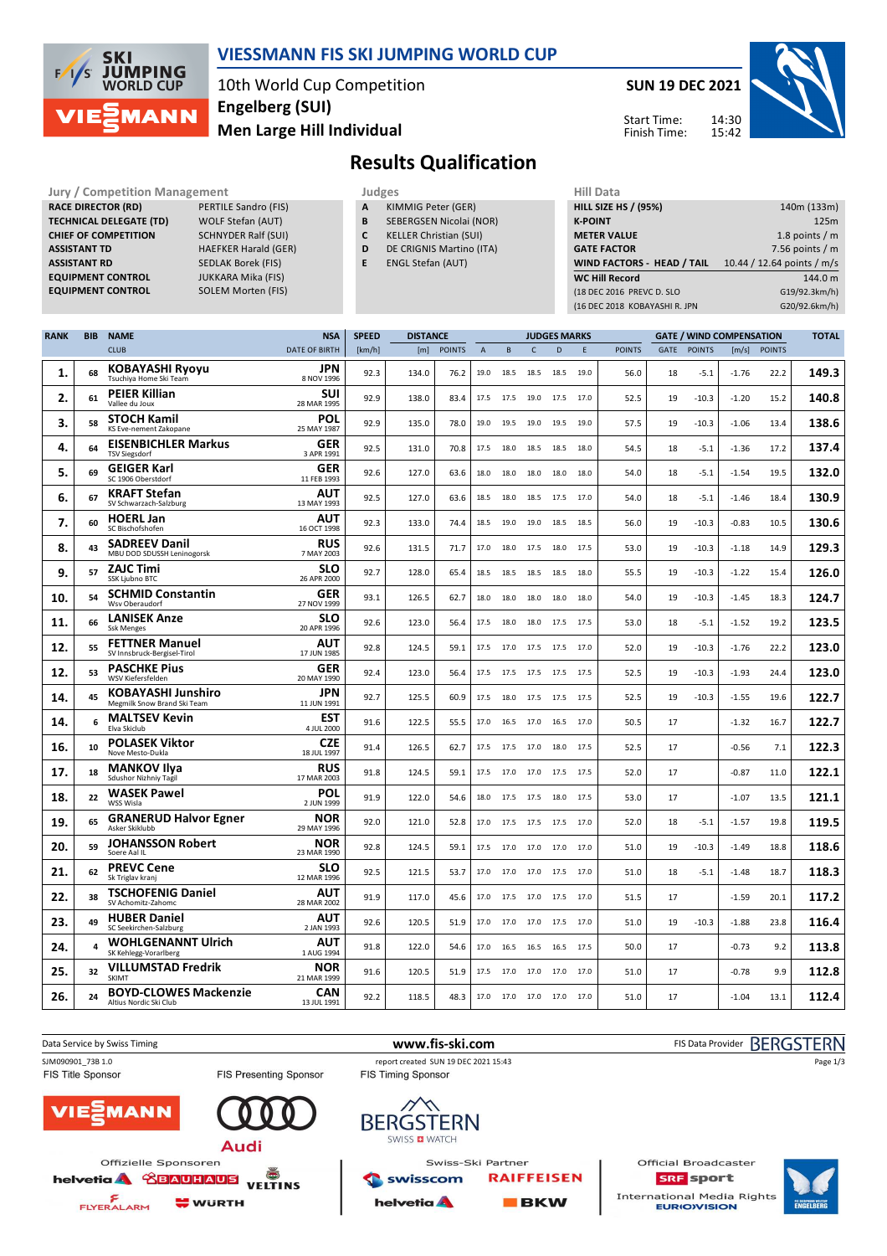

### **VIESSMANN FIS SKI JUMPING WORLD CUP**

10th World Cup Competition **Men Large Hill Individual Engelberg (SUI)**

**SOLEM Morten (FIS)** 

**SUN 19 DEC 2021** 14:30 15:42 Start Time: Finish Time:



# **Results Qualification**

**Jury / Competition Management Judges Judges Hill Data**<br> **RACE DIRECTOR (RD)** PERTILE Sandro (FIS) **A** KIMMIG Peter (GER) **HILL SIZE H RACE DIRECTOR (RD) TECHNICAL DELEGATE (TD)** WOLF Stefan (AUT) **CHIEF OF COMPETITION** SCHNYDER Ralf (SUI) **ASSISTANT TD** HAEFKER Harald (GER) **ASSISTANT RD** SEDLAK Borek (FIS)<br>**EQUIPMENT CONTROL** JUKKARA Mika (FIS) **EQUIPMENT CONTROL**<br>EQUIPMENT CONTROL

FLYERALARM

**WURTH** 

- **A** KIMMIG Peter (GER)
- **B** SEBERGSEN Nicolai (NOR)
- **C** KELLER Christian (SUI)
- **D** DE CRIGNIS Martino (ITA)
- **E** ENGL Stefan (AUT)

| <b>HILL SIZE HS / (95%)</b>       | 140m (133m)                |  |  |  |  |  |  |  |
|-----------------------------------|----------------------------|--|--|--|--|--|--|--|
| <b>K-POINT</b>                    | 125m                       |  |  |  |  |  |  |  |
| <b>METER VALUE</b>                | 1.8 points $/m$            |  |  |  |  |  |  |  |
| <b>GATE FACTOR</b>                | 7.56 points $/m$           |  |  |  |  |  |  |  |
|                                   | 10.44 / 12.64 points / m/s |  |  |  |  |  |  |  |
| <b>WIND FACTORS - HEAD / TAIL</b> |                            |  |  |  |  |  |  |  |
| <b>WC Hill Record</b>             | 144.0 m                    |  |  |  |  |  |  |  |
| (18 DEC 2016 PREVC D. SLO         | G19/92.3km/h)              |  |  |  |  |  |  |  |
| (16 DEC 2018 KOBAYASHI R. JPN     | G20/92.6km/h)              |  |  |  |  |  |  |  |

| <b>RANK</b> | <b>BIB</b> | <b>NAME</b>                                              | <b>NSA</b>                | <b>SPEED</b> | <b>DISTANCE</b> |               |                | <b>JUDGES MARKS</b> |              |                     |      |               | <b>GATE / WIND COMPENSATION</b> |               |         |               | <b>TOTAL</b> |
|-------------|------------|----------------------------------------------------------|---------------------------|--------------|-----------------|---------------|----------------|---------------------|--------------|---------------------|------|---------------|---------------------------------|---------------|---------|---------------|--------------|
|             |            | <b>CLUB</b>                                              | <b>DATE OF BIRTH</b>      | [km/h]       | [m]             | <b>POINTS</b> | $\overline{A}$ | $\,$ B              | $\mathsf{C}$ | D                   | E    | <b>POINTS</b> | <b>GATE</b>                     | <b>POINTS</b> | [m/s]   | <b>POINTS</b> |              |
| 1.          | 68         | <b>KOBAYASHI Ryoyu</b><br>Tsuchiya Home Ski Team         | <b>JPN</b><br>8 NOV 1996  | 92.3         | 134.0           | 76.2          | 19.0           | 18.5                | 18.5         | 18.5                | 19.0 | 56.0          | 18                              | $-5.1$        | $-1.76$ | 22.2          | 149.3        |
| 2.          | 61         | <b>PEIER Killian</b><br>Vallee du Joux                   | SUI<br>28 MAR 1995        | 92.9         | 138.0           | 83.4          | 17.5           | 17.5                | 19.0         | 17.5                | 17.0 | 52.5          | 19                              | $-10.3$       | $-1.20$ | 15.2          | 140.8        |
| 3.          | 58         | <b>STOCH Kamil</b><br>KS Eve-nement Zakopane             | POL<br>25 MAY 1987        | 92.9         | 135.0           | 78.0          | 19.0           | 19.5                | 19.0         | 19.5                | 19.0 | 57.5          | 19                              | $-10.3$       | $-1.06$ | 13.4          | 138.6        |
| 4.          | 64         | <b>EISENBICHLER Markus</b><br><b>TSV Siegsdorf</b>       | <b>GER</b><br>3 APR 1991  | 92.5         | 131.0           | 70.8          | 17.5           |                     | 18.0 18.5    | 18.5                | 18.0 | 54.5          | 18                              | $-5.1$        | $-1.36$ | 17.2          | 137.4        |
| 5.          | 69         | <b>GEIGER Karl</b><br>SC 1906 Oberstdorf                 | GER<br>11 FEB 1993        | 92.6         | 127.0           | 63.6          | 18.0           | 18.0                | 18.0         | 18.0                | 18.0 | 54.0          | 18                              | $-5.1$        | $-1.54$ | 19.5          | 132.0        |
| 6.          | 67         | <b>KRAFT Stefan</b><br>SV Schwarzach-Salzburg            | AUT<br>13 MAY 1993        | 92.5         | 127.0           | 63.6          | 18.5           | 18.0                | 18.5         | 17.5                | 17.0 | 54.0          | 18                              | $-5.1$        | $-1.46$ | 18.4          | 130.9        |
| 7.          | 60         | <b>HOERL Jan</b><br>SC Bischofshofen                     | AUT<br>16 OCT 1998        | 92.3         | 133.0           | 74.4          | 18.5           | 19.0                | 19.0         | 18.5                | 18.5 | 56.0          | 19                              | $-10.3$       | $-0.83$ | 10.5          | 130.6        |
| 8.          | 43         | <b>SADREEV Danil</b><br>MBU DOD SDUSSH Leninogorsk       | <b>RUS</b><br>7 MAY 2003  | 92.6         | 131.5           | 71.7          | 17.0           | 18.0                | 17.5         | 18.0                | 17.5 | 53.0          | 19                              | $-10.3$       | $-1.18$ | 14.9          | 129.3        |
| 9.          | 57         | <b>ZAJC Timi</b><br>SSK Ljubno BTC                       | SLO<br>26 APR 2000        | 92.7         | 128.0           | 65.4          | 18.5           | 18.5                | 18.5         | 18.5                | 18.0 | 55.5          | 19                              | $-10.3$       | $-1.22$ | 15.4          | 126.0        |
| 10.         | 54         | <b>SCHMID Constantin</b><br>Wsv Oberaudorf               | GER<br>27 NOV 1999        | 93.1         | 126.5           | 62.7          | 18.0           | 18.0                | 18.0         | 18.0                | 18.0 | 54.0          | 19                              | $-10.3$       | $-1.45$ | 18.3          | 124.7        |
| 11.         | 66         | <b>LANISEK Anze</b><br><b>Ssk Menges</b>                 | <b>SLO</b><br>20 APR 1996 | 92.6         | 123.0           | 56.4          | 17.5           | 18.0                | 18.0         | 17.5                | 17.5 | 53.0          | 18                              | $-5.1$        | $-1.52$ | 19.2          | 123.5        |
| 12.         | 55         | <b>FETTNER Manuel</b><br>SV Innsbruck-Bergisel-Tirol     | AUT<br>17 JUN 1985        | 92.8         | 124.5           | 59.1          | 17.5           | 17.0                |              | 17.5 17.5 17.0      |      | 52.0          | 19                              | $-10.3$       | $-1.76$ | 22.2          | 123.0        |
| 12.         | 53         | <b>PASCHKE Pius</b><br>WSV Kiefersfelden                 | GER<br>20 MAY 1990        | 92.4         | 123.0           | 56.4          | 17.5           | 17.5                | 17.5         | 17.5                | 17.5 | 52.5          | 19                              | $-10.3$       | $-1.93$ | 24.4          | 123.0        |
| 14.         | 45         | <b>KOBAYASHI Junshiro</b><br>Megmilk Snow Brand Ski Team | JPN<br>11 JUN 1991        | 92.7         | 125.5           | 60.9          | 17.5           | 18.0                | 17.5         | 17.5                | 17.5 | 52.5          | 19                              | $-10.3$       | $-1.55$ | 19.6          | 122.7        |
| 14.         | 6          | <b>MALTSEV Kevin</b><br>Elva Skiclub                     | EST<br>4 JUL 2000         | 91.6         | 122.5           | 55.5          | 17.0           | 16.5                | 17.0         | 16.5                | 17.0 | 50.5          | 17                              |               | $-1.32$ | 16.7          | 122.7        |
| 16.         | 10         | <b>POLASEK Viktor</b><br>Nove Mesto-Dukla                | <b>CZE</b><br>18 JUL 1997 | 91.4         | 126.5           | 62.7          | 17.5           | 17.5                | 17.0         | 18.0                | 17.5 | 52.5          | 17                              |               | $-0.56$ | 7.1           | 122.3        |
| 17.         | 18         | <b>MANKOV IIva</b><br>Sdushor Nizhniy Tagil              | <b>RUS</b><br>17 MAR 2003 | 91.8         | 124.5           | 59.1          | 17.5           | 17.0                | 17.0         | 17.5                | 17.5 | 52.0          | 17                              |               | $-0.87$ | 11.0          | 122.1        |
| 18.         | 22         | <b>WASEK Pawel</b><br>WSS Wisla                          | POL<br>2 JUN 1999         | 91.9         | 122.0           | 54.6          | 18.0           | 17.5                | 17.5         | 18.0                | 17.5 | 53.0          | 17                              |               | $-1.07$ | 13.5          | 121.1        |
| 19.         | 65         | <b>GRANERUD Halvor Egner</b><br>Asker Skiklubb           | NOR<br>29 MAY 1996        | 92.0         | 121.0           | 52.8          | 17.0           | 17.5                | 17.5         | 17.5 17.0           |      | 52.0          | 18                              | $-5.1$        | $-1.57$ | 19.8          | 119.5        |
| 20.         | 59         | <b>JOHANSSON Robert</b><br>Soere Aal IL                  | NOR<br>23 MAR 1990        | 92.8         | 124.5           | 59.1          | 17.5           | 17.0                | 17.0         | 17.0                | 17.0 | 51.0          | 19                              | $-10.3$       | $-1.49$ | 18.8          | 118.6        |
| 21.         | 62         | <b>PREVC Cene</b><br>Sk Triglav krani                    | <b>SLO</b><br>12 MAR 1996 | 92.5         | 121.5           | 53.7          | 17.0           | 17.0                | 17.0         | 17.5                | 17.0 | 51.0          | 18                              | $-5.1$        | $-1.48$ | 18.7          | 118.3        |
| 22.         | 38         | <b>TSCHOFENIG Daniel</b><br>SV Achomitz-Zahomc           | AUT<br>28 MAR 2002        | 91.9         | 117.0           | 45.6          | 17.0           | 17.5                | 17.0         | 17.5                | 17.0 | 51.5          | 17                              |               | $-1.59$ | 20.1          | 117.2        |
| 23.         | 49         | <b>HUBER Daniel</b><br>SC Seekirchen-Salzburg            | AUT<br>2 JAN 1993         | 92.6         | 120.5           | 51.9          | 17.0           | 17.0                | 17.0         | 17.5                | 17.0 | 51.0          | 19                              | $-10.3$       | $-1.88$ | 23.8          | 116.4        |
| 24.         | 4          | <b>WOHLGENANNT Ulrich</b><br>SK Kehlegg-Vorarlberg       | AUT<br>1 AUG 1994         | 91.8         | 122.0           | 54.6          | 17.0           | 16.5                | 16.5         | 16.5                | 17.5 | 50.0          | 17                              |               | $-0.73$ | 9.2           | 113.8        |
| 25.         | 32         | <b>VILLUMSTAD Fredrik</b><br>SKIMT                       | NOR<br>21 MAR 1999        | 91.6         | 120.5           | 51.9          | 17.5           | 17.0                | 17.0         | 17.0                | 17.0 | 51.0          | 17                              |               | $-0.78$ | 9.9           | 112.8        |
| 26.         | 24         | <b>BOYD-CLOWES Mackenzie</b><br>Altius Nordic Ski Club   | <b>CAN</b><br>13 JUL 1991 | 92.2         | 118.5           | 48.3          | 17.0           |                     |              | 17.0 17.0 17.0 17.0 |      | 51.0          | 17                              |               | $-1.04$ | 13.1          | 112.4        |



**BKW** 

helvetia A

International Media Rights<br>**EURIOVISION** 

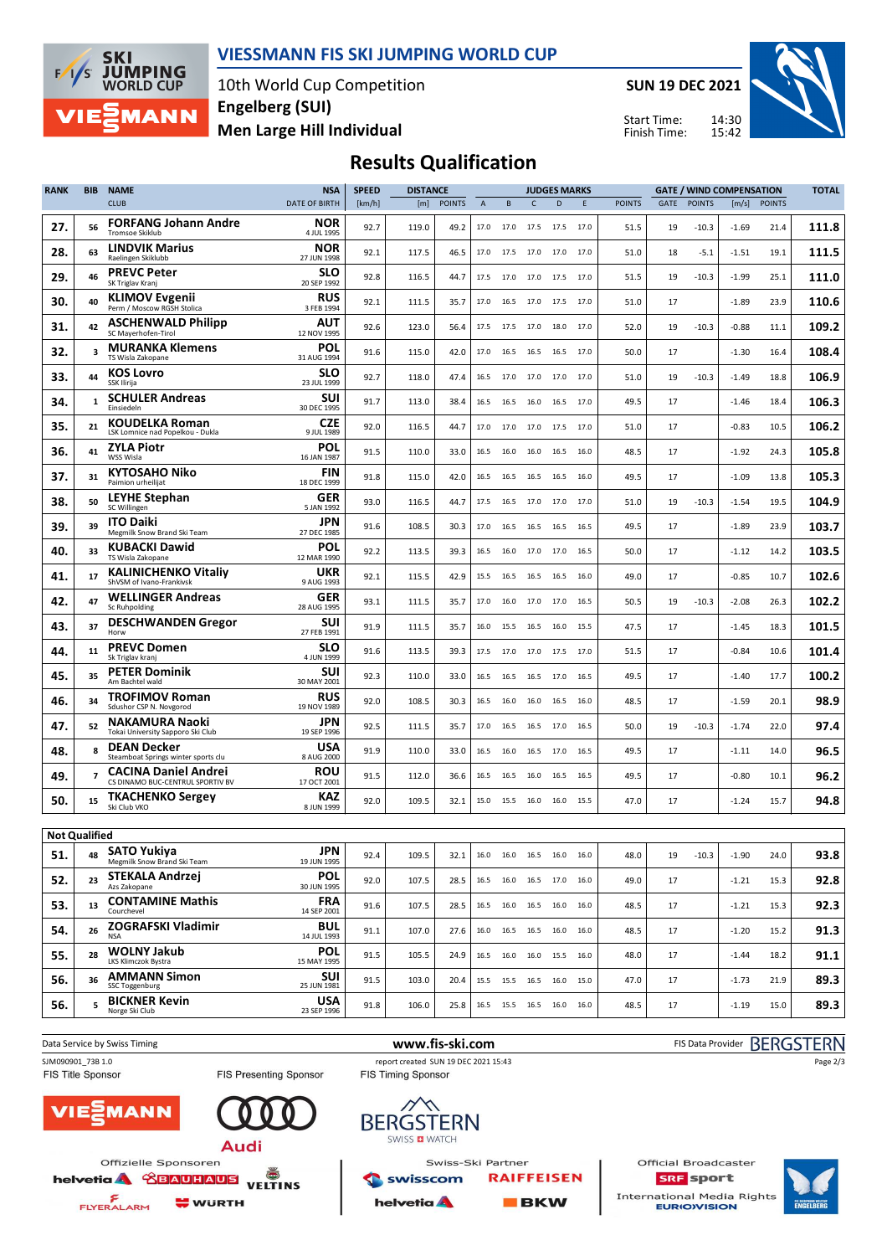

### **VIESSMANN FIS SKI JUMPING WORLD CUP**

10th World Cup Competition **Men Large Hill Individual Engelberg (SUI)**

**SUN 19 DEC 2021**

Start Time: Finish Time:



## **Results Qualification**

| <b>RANK</b>          | BIB | <b>NAME</b>                                                     | <b>NSA</b>                | <b>SPEED</b> | <b>DISTANCE</b> |               |             | <b>JUDGES MARKS</b> |              |                              | <b>GATE / WIND COMPENSATION</b> |               |      |               |         | <b>TOTAL</b>  |       |
|----------------------|-----|-----------------------------------------------------------------|---------------------------|--------------|-----------------|---------------|-------------|---------------------|--------------|------------------------------|---------------------------------|---------------|------|---------------|---------|---------------|-------|
|                      |     | <b>CLUB</b>                                                     | DATE OF BIRTH             | [km/h]       | [m]             | <b>POINTS</b> | $\mathsf A$ | B                   | $\mathsf{C}$ | D                            | E                               | <b>POINTS</b> | GATE | <b>POINTS</b> | [m/s]   | <b>POINTS</b> |       |
| 27.                  | 56  | <b>FORFANG Johann Andre</b><br><b>Tromsoe Skiklub</b>           | <b>NOR</b><br>4 JUL 1995  | 92.7         | 119.0           | 49.2          | 17.0        | 17.0                | 17.5         | 17.5 17.0                    |                                 | 51.5          | 19   | $-10.3$       | $-1.69$ | 21.4          | 111.8 |
| 28.                  | 63  | <b>LINDVIK Marius</b><br>Raelingen Skiklubb                     | <b>NOR</b><br>27 JUN 1998 | 92.1         | 117.5           | 46.5          | 17.0        | 17.5                | 17.0         | 17.0 17.0                    |                                 | 51.0          | 18   | $-5.1$        | $-1.51$ | 19.1          | 111.5 |
| 29.                  | 46  | <b>PREVC Peter</b><br>SK Triglav Kranj                          | <b>SLO</b><br>20 SEP 1992 | 92.8         | 116.5           | 44.7          | 17.5        | 17.0                | 17.0         | 17.5                         | 17.0                            | 51.5          | 19   | $-10.3$       | $-1.99$ | 25.1          | 111.0 |
| 30.                  | 40  | <b>KLIMOV Evgenii</b><br>Perm / Moscow RGSH Stolica             | <b>RUS</b><br>3 FEB 1994  | 92.1         | 111.5           | 35.7          | 17.0        | 16.5                | 17.0         | 17.5 17.0                    |                                 | 51.0          | 17   |               | $-1.89$ | 23.9          | 110.6 |
| 31.                  | 42  | <b>ASCHENWALD Philipp</b><br>SC Mayerhofen-Tirol                | AUT<br>12 NOV 1995        | 92.6         | 123.0           | 56.4          | 17.5        |                     |              | 17.5 17.0 18.0               | 17.0                            | 52.0          | 19   | $-10.3$       | $-0.88$ | 11.1          | 109.2 |
| 32.                  | 3   | <b>MURANKA Klemens</b><br>TS Wisla Zakopane                     | POL<br>31 AUG 1994        | 91.6         | 115.0           | 42.0          | 17.0        | 16.5                | 16.5         | 16.5                         | 17.0                            | 50.0          | 17   |               | $-1.30$ | 16.4          | 108.4 |
| 33.                  | 44  | <b>KOS Lovro</b><br>SSK Ilirija                                 | SLO<br>23 JUL 1999        | 92.7         | 118.0           | 47.4          | 16.5        | 17.0                | 17.0         | 17.0 17.0                    |                                 | 51.0          | 19   | $-10.3$       | $-1.49$ | 18.8          | 106.9 |
| 34.                  | 1   | <b>SCHULER Andreas</b><br>Einsiedeln                            | SUI<br>30 DEC 1995        | 91.7         | 113.0           | 38.4          | 16.5        | 16.5                | 16.0         | 16.5                         | 17.0                            | 49.5          | 17   |               | $-1.46$ | 18.4          | 106.3 |
| 35.                  | 21  | <b>KOUDELKA Roman</b><br>LSK Lomnice nad Popelkou - Dukla       | <b>CZE</b><br>9 JUL 1989  | 92.0         | 116.5           | 44.7          | 17.0        | 17.0                |              | 17.0 17.5 17.0               |                                 | 51.0          | 17   |               | $-0.83$ | 10.5          | 106.2 |
| 36.                  | 41  | <b>ZYLA Piotr</b><br>WSS Wisla                                  | POL<br>16 JAN 1987        | 91.5         | 110.0           | 33.0          | 16.5        | 16.0                | 16.0         | 16.5                         | 16.0                            | 48.5          | 17   |               | $-1.92$ | 24.3          | 105.8 |
| 37.                  | 31  | KYTOSAHO Niko<br>Paimion urheilijat                             | FIN<br>18 DEC 1999        | 91.8         | 115.0           | 42.0          | 16.5        | 16.5                | 16.5         | 16.5                         | 16.0                            | 49.5          | 17   |               | $-1.09$ | 13.8          | 105.3 |
| 38.                  | 50  | <b>LEYHE Stephan</b><br>SC Willingen                            | GER<br>5 JAN 1992         | 93.0         | 116.5           | 44.7          | 17.5        | 16.5                | 17.0         | 17.0                         | 17.0                            | 51.0          | 19   | $-10.3$       | $-1.54$ | 19.5          | 104.9 |
| 39.                  | 39  | <b>ITO Daiki</b><br>Megmilk Snow Brand Ski Team                 | JPN<br>27 DEC 1985        | 91.6         | 108.5           | 30.3          | 17.0        | 16.5                | 16.5         | 16.5                         | 16.5                            | 49.5          | 17   |               | $-1.89$ | 23.9          | 103.7 |
| 40.                  | 33  | <b>KUBACKI Dawid</b><br>TS Wisla Zakopane                       | POL<br>12 MAR 1990        | 92.2         | 113.5           | 39.3          | 16.5        |                     |              | 16.0 17.0 17.0 16.5          |                                 | 50.0          | 17   |               | $-1.12$ | 14.2          | 103.5 |
| 41.                  | 17  | <b>KALINICHENKO Vitaliy</b><br>ShVSM of Ivano-Frankivsk         | UKR<br>9 AUG 1993         | 92.1         | 115.5           | 42.9          | 15.5        | 16.5                | 16.5         | 16.5                         | 16.0                            | 49.0          | 17   |               | $-0.85$ | 10.7          | 102.6 |
| 42.                  | 47  | <b>WELLINGER Andreas</b><br>Sc Ruhpolding                       | GER<br>28 AUG 1995        | 93.1         | 111.5           | 35.7          | 17.0        | 16.0                | 17.0         | 17.0                         | 16.5                            | 50.5          | 19   | $-10.3$       | $-2.08$ | 26.3          | 102.2 |
| 43.                  | 37  | <b>DESCHWANDEN Gregor</b><br>Horw                               | SUI<br>27 FEB 1991        | 91.9         | 111.5           | 35.7          | 16.0        | 15.5                | 16.5         | 16.0                         | 15.5                            | 47.5          | 17   |               | -1.45   | 18.3          | 101.5 |
| 44.                  | 11  | <b>PREVC Domen</b><br>Sk Triglav kranj                          | SLO<br>4 JUN 1999         | 91.6         | 113.5           | 39.3          | 17.5        | 17.0                | 17.0         | 17.5                         | 17.0                            | 51.5          | 17   |               | -0.84   | 10.6          | 101.4 |
| 45.                  | 35  | <b>PETER Dominik</b><br>Am Bachtel wald                         | SUI<br>30 MAY 2001        | 92.3         | 110.0           | 33.0          | 16.5        | 16.5                |              | 16.5 17.0                    | 16.5                            | 49.5          | 17   |               | $-1.40$ | 17.7          | 100.2 |
| 46.                  | 34  | <b>TROFIMOV Roman</b><br>Sdushor CSP N. Novgorod                | <b>RUS</b><br>19 NOV 1989 | 92.0         | 108.5           | 30.3          | 16.5        | 16.0                | 16.0         | 16.5                         | 16.0                            | 48.5          | 17   |               | $-1.59$ | 20.1          | 98.9  |
| 47.                  | 52  | <b>NAKAMURA Naoki</b><br>Tokai University Sapporo Ski Club      | JPN<br>19 SEP 1996        | 92.5         | 111.5           | 35.7          | 17.0        | 16.5                | 16.5         | 17.0                         | 16.5                            | 50.0          | 19   | $-10.3$       | $-1.74$ | 22.0          | 97.4  |
| 48.                  | 8   | <b>DEAN Decker</b><br>Steamboat Springs winter sports clu       | USA<br>8 AUG 2000         | 91.9         | 110.0           | 33.0          | 16.5        | 16.0                | 16.5         | 17.0                         | 16.5                            | 49.5          | 17   |               | $-1.11$ | 14.0          | 96.5  |
| 49.                  |     | <b>CACINA Daniel Andrei</b><br>CS DINAMO BUC-CENTRUL SPORTIV BV | ROU<br>17 OCT 2001        | 91.5         | 112.0           | 36.6          | 16.5        | 16.5                | 16.0         | 16.5                         | 16.5                            | 49.5          | 17   |               | $-0.80$ | 10.1          | 96.2  |
| 50.                  | 15  | <b>TKACHENKO Sergey</b><br>Ski Club VKO                         | KAZ<br>8 JUN 1999         | 92.0         | 109.5           | 32.1          |             | 15.0 15.5 16.0 16.0 |              |                              | 15.5                            | 47.0          | 17   |               | $-1.24$ | 15.7          | 94.8  |
| <b>Not Qualified</b> |     |                                                                 |                           |              |                 |               |             |                     |              |                              |                                 |               |      |               |         |               |       |
| 51.                  | 48  | SATO Yukiya<br>Megmilk Snow Brand Ski Team                      | <b>JPN</b><br>19 JUN 1995 | 92.4         | 109.5           | 32.1          |             |                     |              | 16.0 16.0 16.5 16.0 16.0     |                                 | 48.0          | 19   | $-10.3$       | $-1.90$ | 24.0          | 93.8  |
| 52.                  | 23  | <b>STEKALA Andrzei</b><br>Azs Zakopane                          | <b>POL</b><br>30 JUN 1995 | 92.0         | 107.5           | 28.5          |             |                     |              | 16.5 16.0 16.5 17.0 16.0     |                                 | 49.0          | 17   |               | $-1.21$ | 15.3          | 92.8  |
| 53.                  | 13  | <b>CONTAMINE Mathis</b><br>Courchevel                           | <b>FRA</b><br>14 SEP 2001 | 91.6         | 107.5           | 28.5          |             |                     |              | 16.5 16.0 16.5 16.0 16.0     |                                 | 48.5          | 17   |               | $-1.21$ | 15.3          | 92.3  |
| 54.                  | 26  | <b>ZOGRAFSKI Vladimir</b><br><b>NSA</b>                         | <b>BUL</b><br>14 JUL 1993 | 91.1         | 107.0           | 27.6          |             |                     |              | 16.0  16.5  16.5  16.0  16.0 |                                 | 48.5          | 17   |               | $-1.20$ | 15.2          | 91.3  |
| 55.                  | 28  | <b>WOLNY Jakub</b><br>LKS Klimczok Bystra                       | <b>POL</b><br>15 MAY 1995 | 91.5         | 105.5           | 24.9          |             |                     |              | 16.5 16.0 16.0 15.5 16.0     |                                 | 48.0          | 17   |               | $-1.44$ | 18.2          | 91.1  |
| 56.                  | 36  | <b>AMMANN Simon</b><br>SSC Toggenburg                           | <b>SUI</b><br>25 JUN 1981 | 91.5         | 103.0           | 20.4          |             |                     |              | 15.5 15.5 16.5 16.0 15.0     |                                 | 47.0          | 17   |               | $-1.73$ | 21.9          | 89.3  |
| 56.                  | 5   | <b>BICKNER Kevin</b><br>Norge Ski Club                          | <b>USA</b><br>23 SEP 1996 | 91.8         | 106.0           | 25.8          |             |                     |              | 16.5 15.5 16.5 16.0 16.0     |                                 | 48.5          | 17   |               | $-1.19$ | 15.0          | 89.3  |
|                      |     |                                                                 |                           |              |                 |               |             |                     |              |                              |                                 |               |      |               |         |               |       |







**helvetia** 

Œ



**BKW** 

Official Broadcaster **SRF** sport International Media Rights<br>**EURIOIVISION**